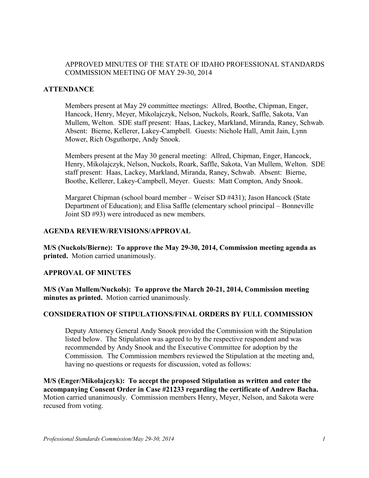# APPROVED MINUTES OF THE STATE OF IDAHO PROFESSIONAL STANDARDS COMMISSION MEETING OF MAY 29-30, 2014

## **ATTENDANCE**

Members present at May 29 committee meetings: Allred, Boothe, Chipman, Enger, Hancock, Henry, Meyer, Mikolajczyk, Nelson, Nuckols, Roark, Saffle, Sakota, Van Mullem, Welton. SDE staff present: Haas, Lackey, Markland, Miranda, Raney, Schwab. Absent: Bierne, Kellerer, Lakey-Campbell. Guests: Nichole Hall, Amit Jain, Lynn Mower, Rich Osguthorpe, Andy Snook.

Members present at the May 30 general meeting: Allred, Chipman, Enger, Hancock, Henry, Mikolajczyk, Nelson, Nuckols, Roark, Saffle, Sakota, Van Mullem, Welton. SDE staff present: Haas, Lackey, Markland, Miranda, Raney, Schwab. Absent: Bierne, Boothe, Kellerer, Lakey-Campbell, Meyer. Guests: Matt Compton, Andy Snook.

Margaret Chipman (school board member – Weiser SD #431); Jason Hancock (State Department of Education); and Elisa Saffle (elementary school principal – Bonneville Joint SD #93) were introduced as new members.

#### **AGENDA REVIEW/REVISIONS/APPROVAL**

**M/S (Nuckols/Bierne): To approve the May 29-30, 2014, Commission meeting agenda as printed.** Motion carried unanimously.

#### **APPROVAL OF MINUTES**

**M/S (Van Mullem/Nuckols): To approve the March 20-21, 2014, Commission meeting minutes as printed.** Motion carried unanimously.

#### **CONSIDERATION OF STIPULATIONS/FINAL ORDERS BY FULL COMMISSION**

Deputy Attorney General Andy Snook provided the Commission with the Stipulation listed below. The Stipulation was agreed to by the respective respondent and was recommended by Andy Snook and the Executive Committee for adoption by the Commission. The Commission members reviewed the Stipulation at the meeting and, having no questions or requests for discussion, voted as follows:

**M/S (Enger/Mikolajczyk): To accept the proposed Stipulation as written and enter the accompanying Consent Order in Case #21233 regarding the certificate of Andrew Bacha.**  Motion carried unanimously. Commission members Henry, Meyer, Nelson, and Sakota were recused from voting.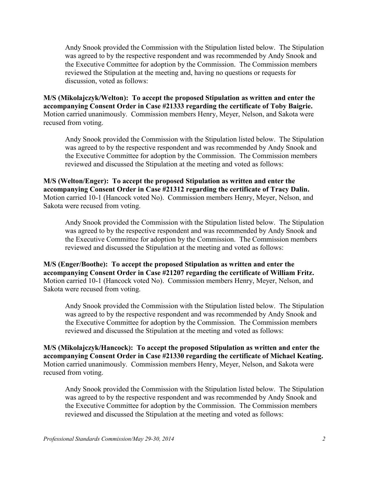Andy Snook provided the Commission with the Stipulation listed below. The Stipulation was agreed to by the respective respondent and was recommended by Andy Snook and the Executive Committee for adoption by the Commission. The Commission members reviewed the Stipulation at the meeting and, having no questions or requests for discussion, voted as follows:

**M/S (Mikolajczyk/Welton): To accept the proposed Stipulation as written and enter the accompanying Consent Order in Case #21333 regarding the certificate of Toby Baigrie.**  Motion carried unanimously. Commission members Henry, Meyer, Nelson, and Sakota were recused from voting.

 Andy Snook provided the Commission with the Stipulation listed below. The Stipulation was agreed to by the respective respondent and was recommended by Andy Snook and the Executive Committee for adoption by the Commission. The Commission members reviewed and discussed the Stipulation at the meeting and voted as follows:

**M/S (Welton/Enger): To accept the proposed Stipulation as written and enter the accompanying Consent Order in Case #21312 regarding the certificate of Tracy Dalin.**  Motion carried 10-1 (Hancock voted No). Commission members Henry, Meyer, Nelson, and Sakota were recused from voting.

Andy Snook provided the Commission with the Stipulation listed below. The Stipulation was agreed to by the respective respondent and was recommended by Andy Snook and the Executive Committee for adoption by the Commission. The Commission members reviewed and discussed the Stipulation at the meeting and voted as follows:

**M/S (Enger/Boothe): To accept the proposed Stipulation as written and enter the accompanying Consent Order in Case #21207 regarding the certificate of William Fritz.**  Motion carried 10-1 (Hancock voted No). Commission members Henry, Meyer, Nelson, and Sakota were recused from voting.

Andy Snook provided the Commission with the Stipulation listed below. The Stipulation was agreed to by the respective respondent and was recommended by Andy Snook and the Executive Committee for adoption by the Commission. The Commission members reviewed and discussed the Stipulation at the meeting and voted as follows:

**M/S (Mikolajczyk/Hancock): To accept the proposed Stipulation as written and enter the accompanying Consent Order in Case #21330 regarding the certificate of Michael Keating.**  Motion carried unanimously. Commission members Henry, Meyer, Nelson, and Sakota were recused from voting.

Andy Snook provided the Commission with the Stipulation listed below. The Stipulation was agreed to by the respective respondent and was recommended by Andy Snook and the Executive Committee for adoption by the Commission. The Commission members reviewed and discussed the Stipulation at the meeting and voted as follows: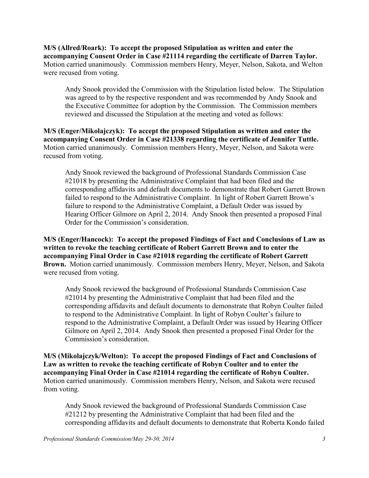**M/S (Allred/Roark): To accept the proposed Stipulation as written and enter the accompanying Consent Order in Case #21114 regarding the certificate of Darren Taylor.**  Motion carried unanimously. Commission members Henry, Meyer, Nelson, Sakota, and Welton were recused from voting.

Andy Snook provided the Commission with the Stipulation listed below. The Stipulation was agreed to by the respective respondent and was recommended by Andy Snook and the Executive Committee for adoption by the Commission. The Commission members reviewed and discussed the Stipulation at the meeting and voted as follows:

**M/S (Enger/Mikolajczyk): To accept the proposed Stipulation as written and enter the accompanying Consent Order in Case #21338 regarding the certificate of Jennifer Tuttle.**  Motion carried unanimously. Commission members Henry, Meyer, Nelson, and Sakota were recused from voting.

Andy Snook reviewed the background of Professional Standards Commission Case #21018 by presenting the Administrative Complaint that had been filed and the corresponding affidavits and default documents to demonstrate that Robert Garrett Brown failed to respond to the Administrative Complaint. In light of Robert Garrett Brown's failure to respond to the Administrative Complaint, a Default Order was issued by Hearing Officer Gilmore on April 2, 2014. Andy Snook then presented a proposed Final Order for the Commission's consideration.

**M/S (Enger/Hancock): To accept the proposed Findings of Fact and Conclusions of Law as written to revoke the teaching certificate of Robert Garrett Brown and to enter the accompanying Final Order in Case #21018 regarding the certificate of Robert Garrett Brown.** Motion carried unanimously. Commission members Henry, Meyer, Nelson, and Sakota were recused from voting.

Andy Snook reviewed the background of Professional Standards Commission Case #21014 by presenting the Administrative Complaint that had been filed and the corresponding affidavits and default documents to demonstrate that Robyn Coulter failed to respond to the Administrative Complaint. In light of Robyn Coulter's failure to respond to the Administrative Complaint, a Default Order was issued by Hearing Officer Gilmore on April 2, 2014. Andy Snook then presented a proposed Final Order for the Commission's consideration.

**M/S (Mikolajczyk/Welton): To accept the proposed Findings of Fact and Conclusions of Law as written to revoke the teaching certificate of Robyn Coulter and to enter the accompanying Final Order in Case #21014 regarding the certificate of Robyn Coulter.**  Motion carried unanimously. Commission members Henry, Nelson, and Sakota were recused from voting.

Andy Snook reviewed the background of Professional Standards Commission Case #21212 by presenting the Administrative Complaint that had been filed and the corresponding affidavits and default documents to demonstrate that Roberta Kondo failed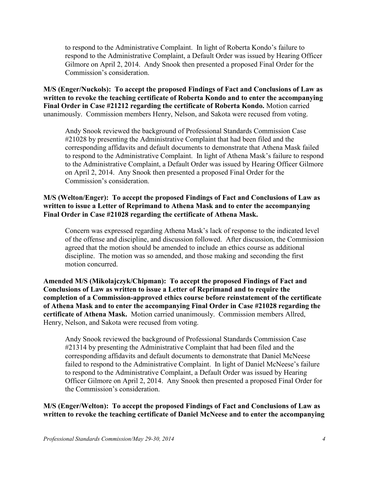to respond to the Administrative Complaint. In light of Roberta Kondo's failure to respond to the Administrative Complaint, a Default Order was issued by Hearing Officer Gilmore on April 2, 2014. Andy Snook then presented a proposed Final Order for the Commission's consideration.

**M/S (Enger/Nuckols): To accept the proposed Findings of Fact and Conclusions of Law as written to revoke the teaching certificate of Roberta Kondo and to enter the accompanying Final Order in Case #21212 regarding the certificate of Roberta Kondo.** Motion carried unanimously. Commission members Henry, Nelson, and Sakota were recused from voting.

Andy Snook reviewed the background of Professional Standards Commission Case #21028 by presenting the Administrative Complaint that had been filed and the corresponding affidavits and default documents to demonstrate that Athena Mask failed to respond to the Administrative Complaint. In light of Athena Mask's failure to respond to the Administrative Complaint, a Default Order was issued by Hearing Officer Gilmore on April 2, 2014. Any Snook then presented a proposed Final Order for the Commission's consideration.

# **M/S (Welton/Enger): To accept the proposed Findings of Fact and Conclusions of Law as written to issue a Letter of Reprimand to Athena Mask and to enter the accompanying Final Order in Case #21028 regarding the certificate of Athena Mask.**

Concern was expressed regarding Athena Mask's lack of response to the indicated level of the offense and discipline, and discussion followed. After discussion, the Commission agreed that the motion should be amended to include an ethics course as additional discipline. The motion was so amended, and those making and seconding the first motion concurred.

**Amended M/S (Mikolajczyk/Chipman): To accept the proposed Findings of Fact and Conclusions of Law as written to issue a Letter of Reprimand and to require the completion of a Commission-approved ethics course before reinstatement of the certificate of Athena Mask and to enter the accompanying Final Order in Case #21028 regarding the certificate of Athena Mask.** Motion carried unanimously. Commission members Allred, Henry, Nelson, and Sakota were recused from voting.

Andy Snook reviewed the background of Professional Standards Commission Case #21314 by presenting the Administrative Complaint that had been filed and the corresponding affidavits and default documents to demonstrate that Daniel McNeese failed to respond to the Administrative Complaint. In light of Daniel McNeese's failure to respond to the Administrative Complaint, a Default Order was issued by Hearing Officer Gilmore on April 2, 2014. Any Snook then presented a proposed Final Order for the Commission's consideration.

# **M/S (Enger/Welton): To accept the proposed Findings of Fact and Conclusions of Law as written to revoke the teaching certificate of Daniel McNeese and to enter the accompanying**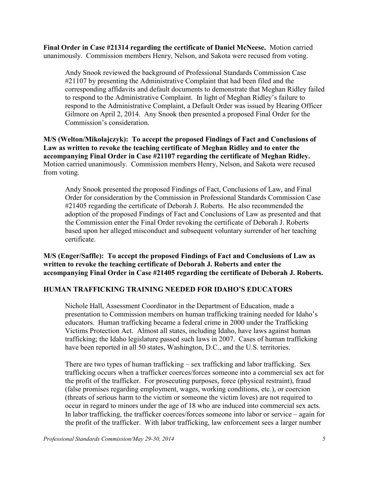**Final Order in Case #21314 regarding the certificate of Daniel McNeese.** Motion carried unanimously. Commission members Henry, Nelson, and Sakota were recused from voting.

Andy Snook reviewed the background of Professional Standards Commission Case #21107 by presenting the Administrative Complaint that had been filed and the corresponding affidavits and default documents to demonstrate that Meghan Ridley failed to respond to the Administrative Complaint. In light of Meghan Ridley's failure to respond to the Administrative Complaint, a Default Order was issued by Hearing Officer Gilmore on April 2, 2014. Any Snook then presented a proposed Final Order for the Commission's consideration.

**M/S (Welton/Mikolajczyk): To accept the proposed Findings of Fact and Conclusions of Law as written to revoke the teaching certificate of Meghan Ridley and to enter the accompanying Final Order in Case #21107 regarding the certificate of Meghan Ridley.**  Motion carried unanimously. Commission members Henry, Nelson, and Sakota were recused from voting.

Andy Snook presented the proposed Findings of Fact, Conclusions of Law, and Final Order for consideration by the Commission in Professional Standards Commission Case #21405 regarding the certificate of Deborah J. Roberts. He also recommended the adoption of the proposed Findings of Fact and Conclusions of Law as presented and that the Commission enter the Final Order revoking the certificate of Deborah J. Roberts based upon her alleged misconduct and subsequent voluntary surrender of her teaching certificate.

**M/S (Enger/Saffle): To accept the proposed Findings of Fact and Conclusions of Law as written to revoke the teaching certificate of Deborah J. Roberts and enter the accompanying Final Order in Case #21405 regarding the certificate of Deborah J. Roberts.**

# **HUMAN TRAFFICKING TRAINING NEEDED FOR IDAHO'S EDUCATORS**

Nichole Hall, Assessment Coordinator in the Department of Education, made a presentation to Commission members on human trafficking training needed for Idaho's educators. Human trafficking became a federal crime in 2000 under the Trafficking Victims Protection Act. Almost all states, including Idaho, have laws against human trafficking; the Idaho legislature passed such laws in 2007. Cases of human trafficking have been reported in all 50 states, Washington, D.C., and the U.S. territories.

There are two types of human trafficking – sex trafficking and labor trafficking. Sex trafficking occurs when a trafficker coerces/forces someone into a commercial sex act for the profit of the trafficker. For prosecuting purposes, force (physical restraint), fraud (false promises regarding employment, wages, working conditions, etc.), or coercion (threats of serious harm to the victim or someone the victim loves) are not required to occur in regard to minors under the age of 18 who are induced into commercial sex acts. In labor trafficking, the trafficker coerces/forces someone into labor or service – again for the profit of the trafficker. With labor trafficking, law enforcement sees a larger number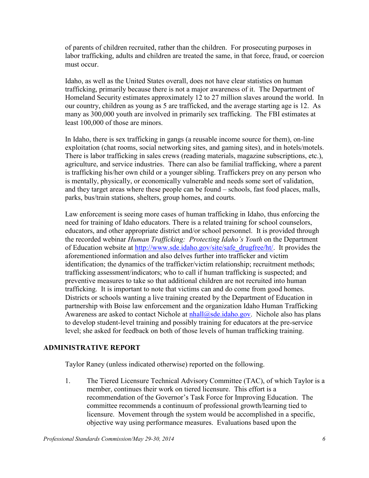of parents of children recruited, rather than the children. For prosecuting purposes in labor trafficking, adults and children are treated the same, in that force, fraud, or coercion must occur.

Idaho, as well as the United States overall, does not have clear statistics on human trafficking, primarily because there is not a major awareness of it. The Department of Homeland Security estimates approximately 12 to 27 million slaves around the world. In our country, children as young as 5 are trafficked, and the average starting age is 12. As many as 300,000 youth are involved in primarily sex trafficking. The FBI estimates at least 100,000 of those are minors.

In Idaho, there is sex trafficking in gangs (a reusable income source for them), on-line exploitation (chat rooms, social networking sites, and gaming sites), and in hotels/motels. There is labor trafficking in sales crews (reading materials, magazine subscriptions, etc.), agriculture, and service industries. There can also be familial trafficking, where a parent is trafficking his/her own child or a younger sibling. Traffickers prey on any person who is mentally, physically, or economically vulnerable and needs some sort of validation, and they target areas where these people can be found – schools, fast food places, malls, parks, bus/train stations, shelters, group homes, and courts.

Law enforcement is seeing more cases of human trafficking in Idaho, thus enforcing the need for training of Idaho educators. There is a related training for school counselors, educators, and other appropriate district and/or school personnel. It is provided through the recorded webinar *Human Trafficking: Protecting Idaho's Youth* on the Department of Education website at [http://www.sde.idaho.gov/site/safe\\_drugfree/ht/.](http://www.sde.idaho.gov/site/safe_drugfree/ht/) It provides the aforementioned information and also delves further into trafficker and victim identification; the dynamics of the trafficker/victim relationship; recruitment methods; trafficking assessment/indicators; who to call if human trafficking is suspected; and preventive measures to take so that additional children are not recruited into human trafficking. It is important to note that victims can and do come from good homes. Districts or schools wanting a live training created by the Department of Education in partnership with Boise law enforcement and the organization Idaho Human Trafficking Awareness are asked to contact Nichole at  $n \text{hall}(Q)$ sde.idaho.gov. Nichole also has plans to develop student-level training and possibly training for educators at the pre-service level; she asked for feedback on both of those levels of human trafficking training.

# **ADMINISTRATIVE REPORT**

Taylor Raney (unless indicated otherwise) reported on the following.

1. The Tiered Licensure Technical Advisory Committee (TAC), of which Taylor is a member, continues their work on tiered licensure. This effort is a recommendation of the Governor's Task Force for Improving Education. The committee recommends a continuum of professional growth/learning tied to licensure. Movement through the system would be accomplished in a specific, objective way using performance measures. Evaluations based upon the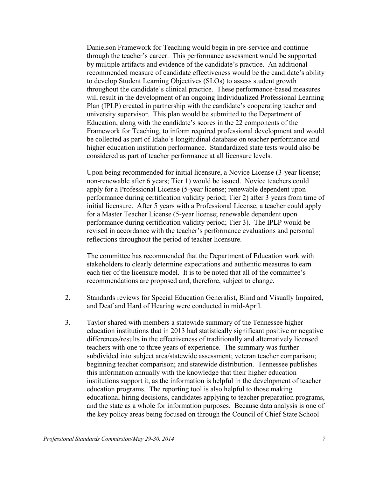Danielson Framework for Teaching would begin in pre-service and continue through the teacher's career. This performance assessment would be supported by multiple artifacts and evidence of the candidate's practice. An additional recommended measure of candidate effectiveness would be the candidate's ability to develop Student Learning Objectives (SLOs) to assess student growth throughout the candidate's clinical practice. These performance-based measures will result in the development of an ongoing Individualized Professional Learning Plan (IPLP) created in partnership with the candidate's cooperating teacher and university supervisor. This plan would be submitted to the Department of Education, along with the candidate's scores in the 22 components of the Framework for Teaching, to inform required professional development and would be collected as part of Idaho's longitudinal database on teacher performance and higher education institution performance. Standardized state tests would also be considered as part of teacher performance at all licensure levels.

Upon being recommended for initial licensure, a Novice License (3-year license; non-renewable after 6 years; Tier 1) would be issued. Novice teachers could apply for a Professional License (5-year license; renewable dependent upon performance during certification validity period; Tier 2) after 3 years from time of initial licensure. After 5 years with a Professional License, a teacher could apply for a Master Teacher License (5-year license; renewable dependent upon performance during certification validity period; Tier 3). The IPLP would be revised in accordance with the teacher's performance evaluations and personal reflections throughout the period of teacher licensure.

The committee has recommended that the Department of Education work with stakeholders to clearly determine expectations and authentic measures to earn each tier of the licensure model. It is to be noted that all of the committee's recommendations are proposed and, therefore, subject to change.

- 2. Standards reviews for Special Education Generalist, Blind and Visually Impaired, and Deaf and Hard of Hearing were conducted in mid-April.
- 3. Taylor shared with members a statewide summary of the Tennessee higher education institutions that in 2013 had statistically significant positive or negative differences/results in the effectiveness of traditionally and alternatively licensed teachers with one to three years of experience. The summary was further subdivided into subject area/statewide assessment; veteran teacher comparison; beginning teacher comparison; and statewide distribution. Tennessee publishes this information annually with the knowledge that their higher education institutions support it, as the information is helpful in the development of teacher education programs. The reporting tool is also helpful to those making educational hiring decisions, candidates applying to teacher preparation programs, and the state as a whole for information purposes. Because data analysis is one of the key policy areas being focused on through the Council of Chief State School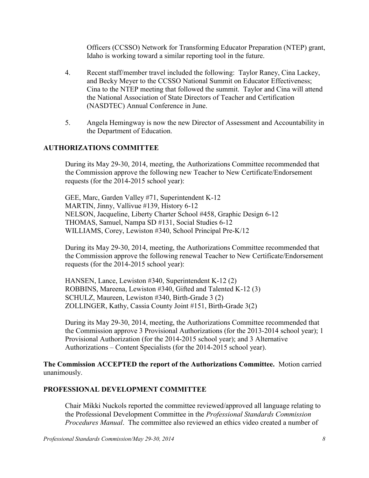Officers (CCSSO) Network for Transforming Educator Preparation (NTEP) grant, Idaho is working toward a similar reporting tool in the future.

- 4. Recent staff/member travel included the following: Taylor Raney, Cina Lackey, and Becky Meyer to the CCSSO National Summit on Educator Effectiveness; Cina to the NTEP meeting that followed the summit. Taylor and Cina will attend the National Association of State Directors of Teacher and Certification (NASDTEC) Annual Conference in June.
- 5. Angela Hemingway is now the new Director of Assessment and Accountability in the Department of Education.

## **AUTHORIZATIONS COMMITTEE**

During its May 29-30, 2014, meeting, the Authorizations Committee recommended that the Commission approve the following new Teacher to New Certificate/Endorsement requests (for the 2014-2015 school year):

GEE, Marc, Garden Valley #71, Superintendent K-12 MARTIN, Jinny, Vallivue #139, History 6-12 NELSON, Jacqueline, Liberty Charter School #458, Graphic Design 6-12 THOMAS, Samuel, Nampa SD #131, Social Studies 6-12 WILLIAMS, Corey, Lewiston #340, School Principal Pre-K/12

During its May 29-30, 2014, meeting, the Authorizations Committee recommended that the Commission approve the following renewal Teacher to New Certificate/Endorsement requests (for the 2014-2015 school year):

HANSEN, Lance, Lewiston #340, Superintendent K-12 (2) ROBBINS, Mareena, Lewiston #340, Gifted and Talented K-12 (3) SCHULZ, Maureen, Lewiston #340, Birth-Grade 3 (2) ZOLLINGER, Kathy, Cassia County Joint #151, Birth-Grade 3(2)

During its May 29-30, 2014, meeting, the Authorizations Committee recommended that the Commission approve 3 Provisional Authorizations (for the 2013-2014 school year); 1 Provisional Authorization (for the 2014-2015 school year); and 3 Alternative Authorizations – Content Specialists (for the 2014-2015 school year).

**The Commission ACCEPTED the report of the Authorizations Committee.** Motion carried unanimously.

#### **PROFESSIONAL DEVELOPMENT COMMITTEE**

Chair Mikki Nuckols reported the committee reviewed/approved all language relating to the Professional Development Committee in the *Professional Standards Commission Procedures Manual*. The committee also reviewed an ethics video created a number of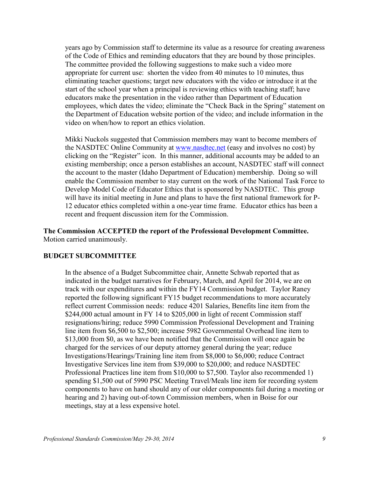years ago by Commission staff to determine its value as a resource for creating awareness of the Code of Ethics and reminding educators that they are bound by those principles. The committee provided the following suggestions to make such a video more appropriate for current use: shorten the video from 40 minutes to 10 minutes, thus eliminating teacher questions; target new educators with the video or introduce it at the start of the school year when a principal is reviewing ethics with teaching staff; have educators make the presentation in the video rather than Department of Education employees, which dates the video; eliminate the "Check Back in the Spring" statement on the Department of Education website portion of the video; and include information in the video on when/how to report an ethics violation.

Mikki Nuckols suggested that Commission members may want to become members of the NASDTEC Online Community at [www.nasdtec.net](http://www.nasdtec.net/) (easy and involves no cost) by clicking on the "Register" icon. In this manner, additional accounts may be added to an existing membership; once a person establishes an account, NASDTEC staff will connect the account to the master (Idaho Department of Education) membership. Doing so will enable the Commission member to stay current on the work of the National Task Force to Develop Model Code of Educator Ethics that is sponsored by NASDTEC. This group will have its initial meeting in June and plans to have the first national framework for P-12 educator ethics completed within a one-year time frame. Educator ethics has been a recent and frequent discussion item for the Commission.

**The Commission ACCEPTED the report of the Professional Development Committee.**  Motion carried unanimously.

#### **BUDGET SUBCOMMITTEE**

In the absence of a Budget Subcommittee chair, Annette Schwab reported that as indicated in the budget narratives for February, March, and April for 2014, we are on track with our expenditures and within the FY14 Commission budget. Taylor Raney reported the following significant FY15 budget recommendations to more accurately reflect current Commission needs: reduce 4201 Salaries, Benefits line item from the \$244,000 actual amount in FY 14 to \$205,000 in light of recent Commission staff resignations/hiring; reduce 5990 Commission Professional Development and Training line item from \$6,500 to \$2,500; increase 5982 Governmental Overhead line item to \$13,000 from \$0, as we have been notified that the Commission will once again be charged for the services of our deputy attorney general during the year; reduce Investigations/Hearings/Training line item from \$8,000 to \$6,000; reduce Contract Investigative Services line item from \$39,000 to \$20,000; and reduce NASDTEC Professional Practices line item from \$10,000 to \$7,500. Taylor also recommended 1) spending \$1,500 out of 5990 PSC Meeting Travel/Meals line item for recording system components to have on hand should any of our older components fail during a meeting or hearing and 2) having out-of-town Commission members, when in Boise for our meetings, stay at a less expensive hotel.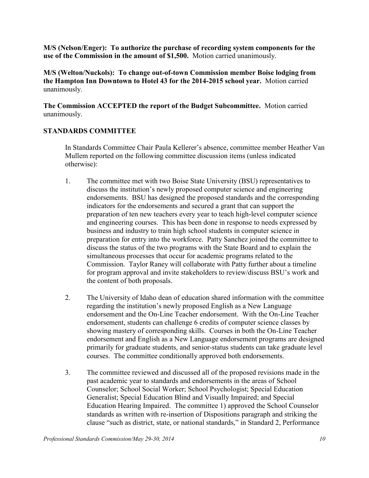**M/S (Nelson/Enger): To authorize the purchase of recording system components for the use of the Commission in the amount of \$1,500.** Motion carried unanimously.

**M/S (Welton/Nuckols): To change out-of-town Commission member Boise lodging from the Hampton Inn Downtown to Hotel 43 for the 2014-2015 school year.** Motion carried unanimously.

**The Commission ACCEPTED the report of the Budget Subcommittee.** Motion carried unanimously.

# **STANDARDS COMMITTEE**

In Standards Committee Chair Paula Kellerer's absence, committee member Heather Van Mullem reported on the following committee discussion items (unless indicated otherwise):

- 1. The committee met with two Boise State University (BSU) representatives to discuss the institution's newly proposed computer science and engineering endorsements. BSU has designed the proposed standards and the corresponding indicators for the endorsements and secured a grant that can support the preparation of ten new teachers every year to teach high-level computer science and engineering courses. This has been done in response to needs expressed by business and industry to train high school students in computer science in preparation for entry into the workforce. Patty Sanchez joined the committee to discuss the status of the two programs with the State Board and to explain the simultaneous processes that occur for academic programs related to the Commission. Taylor Raney will collaborate with Patty further about a timeline for program approval and invite stakeholders to review/discuss BSU's work and the content of both proposals.
- 2. The University of Idaho dean of education shared information with the committee regarding the institution's newly proposed English as a New Language endorsement and the On-Line Teacher endorsement. With the On-Line Teacher endorsement, students can challenge 6 credits of computer science classes by showing mastery of corresponding skills. Courses in both the On-Line Teacher endorsement and English as a New Language endorsement programs are designed primarily for graduate students, and senior-status students can take graduate level courses. The committee conditionally approved both endorsements.
- 3. The committee reviewed and discussed all of the proposed revisions made in the past academic year to standards and endorsements in the areas of School Counselor; School Social Worker; School Psychologist; Special Education Generalist; Special Education Blind and Visually Impaired; and Special Education Hearing Impaired. The committee 1) approved the School Counselor standards as written with re-insertion of Dispositions paragraph and striking the clause "such as district, state, or national standards," in Standard 2, Performance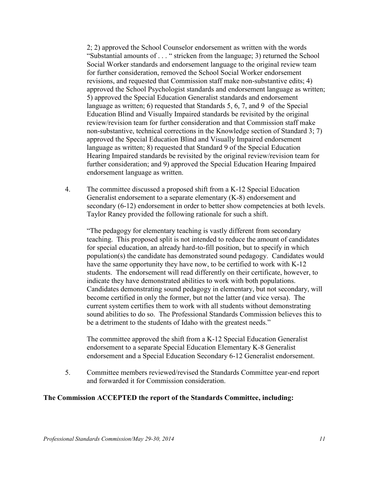2; 2) approved the School Counselor endorsement as written with the words "Substantial amounts of . . . " stricken from the language; 3) returned the School Social Worker standards and endorsement language to the original review team for further consideration, removed the School Social Worker endorsement revisions, and requested that Commission staff make non-substantive edits; 4) approved the School Psychologist standards and endorsement language as written; 5) approved the Special Education Generalist standards and endorsement language as written; 6) requested that Standards 5, 6, 7, and 9 of the Special Education Blind and Visually Impaired standards be revisited by the original review/revision team for further consideration and that Commission staff make non-substantive, technical corrections in the Knowledge section of Standard 3; 7) approved the Special Education Blind and Visually Impaired endorsement language as written; 8) requested that Standard 9 of the Special Education Hearing Impaired standards be revisited by the original review/revision team for further consideration; and 9) approved the Special Education Hearing Impaired endorsement language as written.

4. The committee discussed a proposed shift from a K-12 Special Education Generalist endorsement to a separate elementary (K-8) endorsement and secondary (6-12) endorsement in order to better show competencies at both levels. Taylor Raney provided the following rationale for such a shift.

"The pedagogy for elementary teaching is vastly different from secondary teaching. This proposed split is not intended to reduce the amount of candidates for special education, an already hard-to-fill position, but to specify in which population(s) the candidate has demonstrated sound pedagogy. Candidates would have the same opportunity they have now, to be certified to work with K-12 students. The endorsement will read differently on their certificate, however, to indicate they have demonstrated abilities to work with both populations. Candidates demonstrating sound pedagogy in elementary, but not secondary, will become certified in only the former, but not the latter (and vice versa). The current system certifies them to work with all students without demonstrating sound abilities to do so. The Professional Standards Commission believes this to be a detriment to the students of Idaho with the greatest needs."

The committee approved the shift from a K-12 Special Education Generalist endorsement to a separate Special Education Elementary K-8 Generalist endorsement and a Special Education Secondary 6-12 Generalist endorsement.

5. Committee members reviewed/revised the Standards Committee year-end report and forwarded it for Commission consideration.

#### **The Commission ACCEPTED the report of the Standards Committee, including:**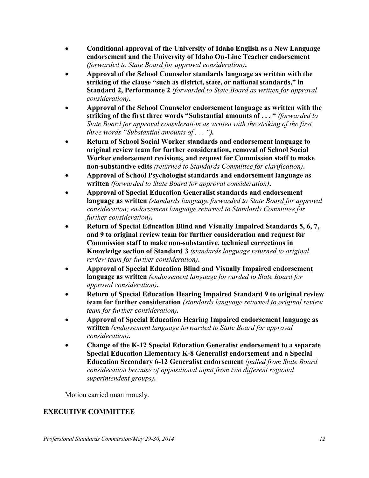- **Conditional approval of the University of Idaho English as a New Language endorsement and the University of Idaho On-Line Teacher endorsement**  *(forwarded to State Board for approval consideration)***.**
- **Approval of the School Counselor standards language as written with the striking of the clause "such as district, state, or national standards," in Standard 2, Performance 2** *(forwarded to State Board as written for approval consideration)***.**
- **Approval of the School Counselor endorsement language as written with the striking of the first three words "Substantial amounts of . . . "** *(forwarded to State Board for approval consideration as written with the striking of the first three words "Substantial amounts of . . . ").*
- **Return of School Social Worker standards and endorsement language to original review team for further consideration, removal of School Social Worker endorsement revisions, and request for Commission staff to make non-substantive edits** *(returned to Standards Committee for clarification)***.**
- **Approval of School Psychologist standards and endorsement language as written** *(forwarded to State Board for approval consideration)***.**
- **Approval of Special Education Generalist standards and endorsement language as written** *(standards language forwarded to State Board for approval consideration; endorsement language returned to Standards Committee for further consideration)***.**
- **Return of Special Education Blind and Visually Impaired Standards 5, 6, 7, and 9 to original review team for further consideration and request for Commission staff to make non-substantive, technical corrections in Knowledge section of Standard 3** *(standards language returned to original review team for further consideration)***.**
- **Approval of Special Education Blind and Visually Impaired endorsement language as written** *(endorsement language forwarded to State Board for approval consideration)***.**
- **Return of Special Education Hearing Impaired Standard 9 to original review team for further consideration** *(standards language returned to original review team for further consideration).*
- **Approval of Special Education Hearing Impaired endorsement language as written** *(endorsement language forwarded to State Board for approval consideration).*
- **Change of the K-12 Special Education Generalist endorsement to a separate Special Education Elementary K-8 Generalist endorsement and a Special Education Secondary 6-12 Generalist endorsement** *(pulled from State Board consideration because of oppositional input from two different regional superintendent groups)***.**

Motion carried unanimously.

# **EXECUTIVE COMMITTEE**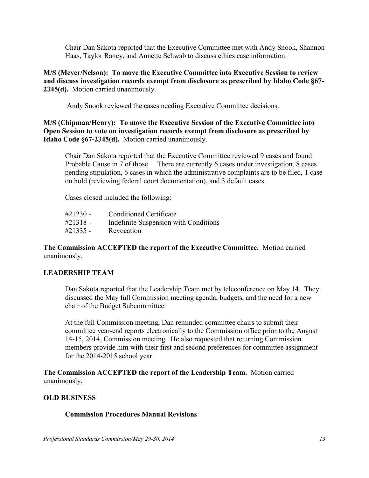Chair Dan Sakota reported that the Executive Committee met with Andy Snook, Shannon Haas, Taylor Raney, and Annette Schwab to discuss ethics case information.

**M/S (Meyer/Nelson): To move the Executive Committee into Executive Session to review and discuss investigation records exempt from disclosure as prescribed by Idaho Code §67- 2345(d).** Motion carried unanimously.

Andy Snook reviewed the cases needing Executive Committee decisions.

**M/S (Chipman/Henry): To move the Executive Session of the Executive Committee into Open Session to vote on investigation records exempt from disclosure as prescribed by Idaho Code §67-2345(d).** Motion carried unanimously.

Chair Dan Sakota reported that the Executive Committee reviewed 9 cases and found Probable Cause in 7 of those. There are currently 6 cases under investigation, 8 cases pending stipulation, 6 cases in which the administrative complaints are to be filed, 1 case on hold (reviewing federal court documentation), and 3 default cases.

Cases closed included the following:

| $\#21230 -$ | Conditioned Certificate               |
|-------------|---------------------------------------|
| $\#21318 -$ | Indefinite Suspension with Conditions |
| $\#21335 -$ | Revocation                            |

## **The Commission ACCEPTED the report of the Executive Committee.** Motion carried unanimously.

# **LEADERSHIP TEAM**

Dan Sakota reported that the Leadership Team met by teleconference on May 14. They discussed the May full Commission meeting agenda, budgets, and the need for a new chair of the Budget Subcommittee.

At the full Commission meeting, Dan reminded committee chairs to submit their committee year-end reports electronically to the Commission office prior to the August 14-15, 2014, Commission meeting. He also requested that returning Commission members provide him with their first and second preferences for committee assignment for the 2014-2015 school year.

**The Commission ACCEPTED the report of the Leadership Team.** Motion carried unanimously.

#### **OLD BUSINESS**

# **Commission Procedures Manual Revisions**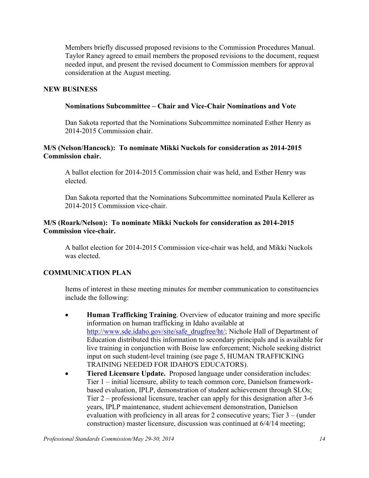Members briefly discussed proposed revisions to the Commission Procedures Manual. Taylor Raney agreed to email members the proposed revisions to the document, request needed input, and present the revised document to Commission members for approval consideration at the August meeting.

## **NEW BUSINESS**

#### **Nominations Subcommittee – Chair and Vice-Chair Nominations and Vote**

Dan Sakota reported that the Nominations Subcommittee nominated Esther Henry as 2014-2015 Commission chair.

## **M/S (Nelson/Hancock): To nominate Mikki Nuckols for consideration as 2014-2015 Commission chair.**

A ballot election for 2014-2015 Commission chair was held, and Esther Henry was elected.

Dan Sakota reported that the Nominations Subcommittee nominated Paula Kellerer as 2014-2015 Commission vice-chair.

## **M/S (Roark/Nelson): To nominate Mikki Nuckols for consideration as 2014-2015 Commission vice-chair.**

A ballot election for 2014-2015 Commission vice-chair was held, and Mikki Nuckols was elected.

# **COMMUNICATION PLAN**

Items of interest in these meeting minutes for member communication to constituencies include the following:

- **Human Trafficking Training**. Overview of educator training and more specific information on human trafficking in Idaho available at [http://www.sde.idaho.gov/site/safe\\_drugfree/ht/;](http://www.sde.idaho.gov/site/safe_drugfree/ht/) Nichole Hall of Department of Education distributed this information to secondary principals and is available for live training in conjunction with Boise law enforcement; Nichole seeking district input on such student-level training (see page 5, HUMAN TRAFFICKING TRAINING NEEDED FOR IDAHO'S EDUCATORS).
- **Tiered Licensure Update.** Proposed language under consideration includes: Tier 1 – initial licensure, ability to teach common core, Danielson frameworkbased evaluation, IPLP, demonstration of student achievement through SLOs; Tier 2 – professional licensure, teacher can apply for this designation after 3-6 years, IPLP maintenance, student achievement demonstration, Danielson evaluation with proficiency in all areas for 2 consecutive years; Tier 3 – (under construction) master licensure, discussion was continued at 6/4/14 meeting;